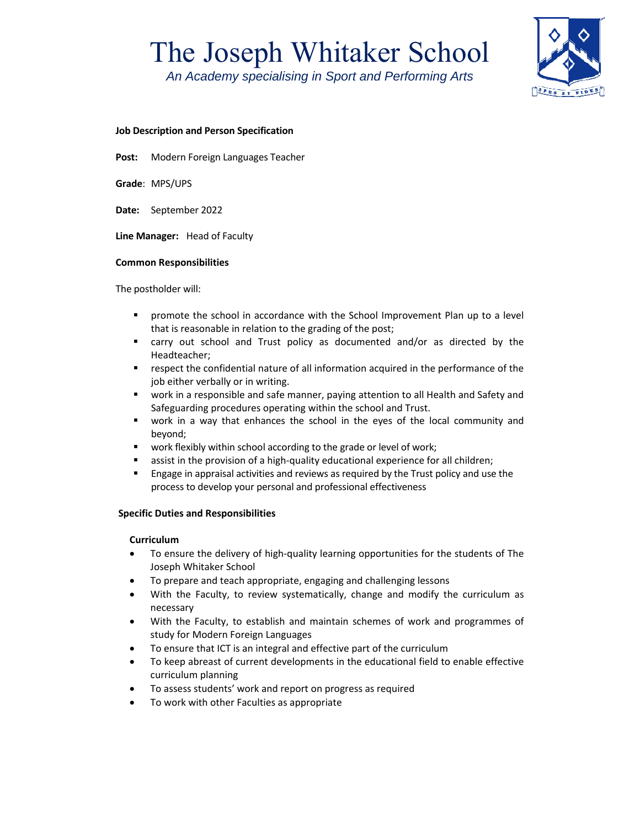# The Joseph Whitaker School

*An Academy specialising in Sport and Performing Arts*



### **Job Description and Person Specification**

**Post:**  Modern Foreign Languages Teacher

**Grade**: MPS/UPS

**Date:** September 2022

Line Manager: Head of Faculty

#### **Common Responsibilities**

The postholder will:

- promote the school in accordance with the School Improvement Plan up to a level that is reasonable in relation to the grading of the post;
- carry out school and Trust policy as documented and/or as directed by the Headteacher;
- respect the confidential nature of all information acquired in the performance of the job either verbally or in writing.
- work in a responsible and safe manner, paying attention to all Health and Safety and Safeguarding procedures operating within the school and Trust.
- work in a way that enhances the school in the eyes of the local community and beyond;
- work flexibly within school according to the grade or level of work;
- assist in the provision of a high‐quality educational experience for all children;
- Engage in appraisal activities and reviews as required by the Trust policy and use the process to develop your personal and professional effectiveness

#### **Specific Duties and Responsibilities**

#### **Curriculum**

- To ensure the delivery of high-quality learning opportunities for the students of The Joseph Whitaker School
- To prepare and teach appropriate, engaging and challenging lessons
- With the Faculty, to review systematically, change and modify the curriculum as necessary
- With the Faculty, to establish and maintain schemes of work and programmes of study for Modern Foreign Languages
- To ensure that ICT is an integral and effective part of the curriculum
- To keep abreast of current developments in the educational field to enable effective curriculum planning
- To assess students' work and report on progress as required
- To work with other Faculties as appropriate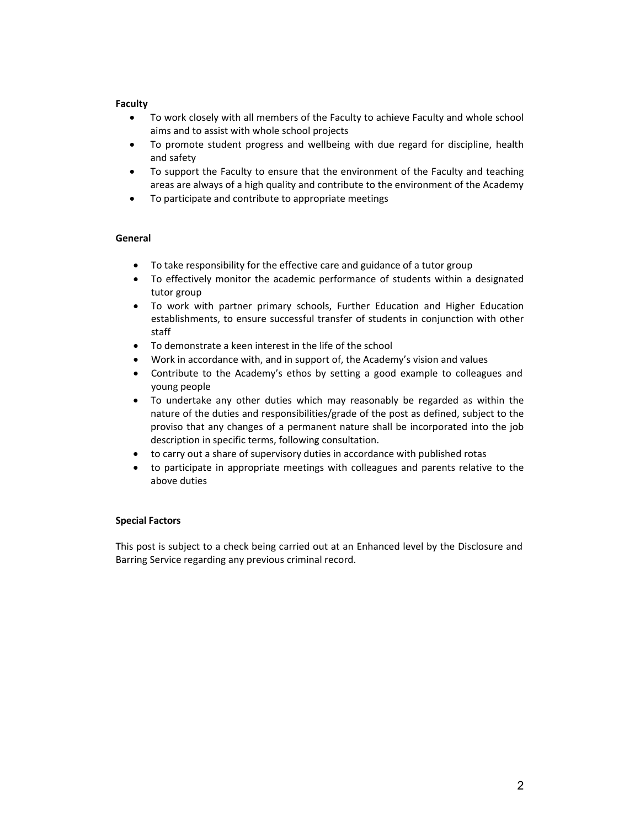#### **Faculty**

- To work closely with all members of the Faculty to achieve Faculty and whole school aims and to assist with whole school projects
- To promote student progress and wellbeing with due regard for discipline, health and safety
- To support the Faculty to ensure that the environment of the Faculty and teaching areas are always of a high quality and contribute to the environment of the Academy
- To participate and contribute to appropriate meetings

#### **General**

- To take responsibility for the effective care and guidance of a tutor group
- To effectively monitor the academic performance of students within a designated tutor group
- To work with partner primary schools, Further Education and Higher Education establishments, to ensure successful transfer of students in conjunction with other staff
- To demonstrate a keen interest in the life of the school
- Work in accordance with, and in support of, the Academy's vision and values
- Contribute to the Academy's ethos by setting a good example to colleagues and young people
- To undertake any other duties which may reasonably be regarded as within the nature of the duties and responsibilities/grade of the post as defined, subject to the proviso that any changes of a permanent nature shall be incorporated into the job description in specific terms, following consultation.
- to carry out a share of supervisory duties in accordance with published rotas
- to participate in appropriate meetings with colleagues and parents relative to the above duties

#### **Special Factors**

This post is subject to a check being carried out at an Enhanced level by the Disclosure and Barring Service regarding any previous criminal record.